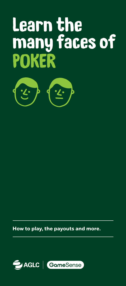## Learn the many faces of POKER



**How to play, the payouts and more.**

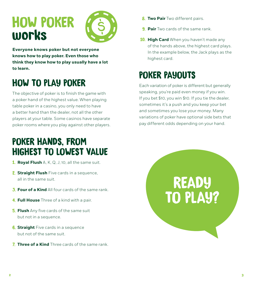## HOW POKER works



**Everyone knows poker but not everyone knows how to play poker. Even those who think they know how to play usually have a lot to learn.**

## HOW TO PLAY POKER

The objective of poker is to finish the game with a poker hand of the highest value. When playing table poker in a casino, you only need to have a better hand than the dealer, not all the other players at your table. Some casinos have separate poker rooms where you play against other players.

### POKER HANDS, FROM HIGHEST TO LOWEST VALUE

- 1. **Royal Flush** A, K, Q, J, 10, all the same suit.
- 2. **Straight Flush** Five cards in a sequence, all in the same suit.
- 3. **Four of a Kind** All four cards of the same rank.
- 4. **Full House** Three of a kind with a pair.
- 5. **Flush** Any five cards of the same suit but not in a sequence.
- **6. Straight** Five cards in a sequence but not of the same suit.
- 7. **Three of a Kind** Three cards of the same rank.
- **8. Two Pair** Two different pairs.
- 9. **Pair** Two cards of the same rank.
- **10. High Card** When you haven't made any of the hands above, the highest card plays. In the example below, the Jack plays as the highest card.

## POKER PAYOUTS

Each variation of poker is different but generally speaking, you're paid even money if you win. If you bet \$10, you win \$10. If you tie the dealer, sometimes it's a push and you keep your bet and sometimes you lose your money. Many variations of poker have optional side bets that pay different odds depending on your hand.

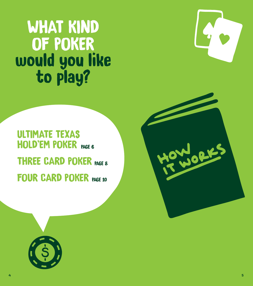# WHAT KIND OF POKER would you like<br>to play?



## HOLD'EM POKER PAGE 6 THREE CARD POKER PAGE 8 FOUR CARD POKER PAGE 10 ULTIMATE TEXAS

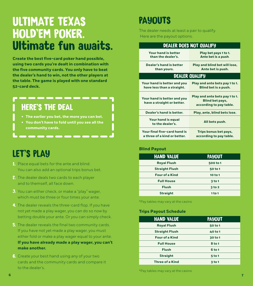## ULTIMATE TEXAS HOLD'EM POKER. Ultimate fun awaits.

**Create the best five-card poker hand possible, using two cards you're dealt in combination with the five community cards. You only have to beat the dealer's hand to win, not the other players at the table. The game is played with one standard 52-card deck.**

### HERE'S THE DEAL

- **• The earlier you bet, the more you can bet.**
- **• You don't have to fold until you see all the community cards.**

### LET'S PLAY

- 1. Place equal bets for the ante and blind. You can also add an optional trips bonus bet.
- 2. The dealer deals two cards to each player and to themself, all face down.
- 3. You can either check, or make a "play" wager, which must be three or four times your ante.
- 4. The dealer reveals the three-card flop. If you have not yet made a play wager, you can do so now by betting double your ante. Or you can simply check.
- 5. The dealer reveals the final two community cards. If you have not yet made a play wager, you must either fold or make a play wager equal to your ante. **If you have already made a play wager, you can't make another.**
- 6. Create your best hand using any of your two cards and the community cards and compare it to the dealer's.

### PAYOUTS

The dealer needs at least a pair to qualify. Here are the payout options.

| <b>DEALER DOES NOT QUALIFY</b>                               |                                                                                     |
|--------------------------------------------------------------|-------------------------------------------------------------------------------------|
| Your hand is better<br>than the dealer's.                    | Play bet pays 1 to 1.<br>Ante bet is a push.                                        |
| <b>Dealer's hand is better</b><br>than yours.                | Play and blind bet will lose,<br>Ante bet is push.                                  |
| <b>DEALER QUALIFY</b>                                        |                                                                                     |
| Your hand is better and you<br>have less than a straight.    | Play and ante bets pay 1 to 1.<br>Blind bet is a push.                              |
| Your hand is better and you<br>have a straight or better.    | Play and ante bets pay 1 to 1.<br><b>Blind bet pays,</b><br>according to pay table. |
| Dealer's hand is better.                                     | Play, ante, blind bets lose.                                                        |
| Your hand is equal<br>to the dealer's.                       | All bets push.                                                                      |
| Your final five-card hand is<br>a three of a kind or better. | Trips bonus bet pays,<br>according to pay table.                                    |

#### **Blind Payout**

| <b>HAND VALUE</b>     | <b>PAYOUT</b>     |
|-----------------------|-------------------|
| <b>Royal Flush</b>    | 500 to 1          |
| <b>Straight Flush</b> | 50 to 1           |
| <b>Four of a Kind</b> | 10 to 1           |
| <b>Full House</b>     | 3 <sub>to 1</sub> |
| <b>Flush</b>          | 3 <sub>to</sub> 2 |
| <b>Straight</b>       | 1 to 1            |

\*Pay tables may vary at the casino

#### **Trips Payout Schedule**

| <b>HAND VALUE</b>      | <b>PAYOUT</b>     |
|------------------------|-------------------|
| <b>Royal Flush</b>     | 50 to 1           |
| <b>Straight Flush</b>  | 40 to 1           |
| <b>Four of a Kind</b>  | 30 to 1           |
| <b>Full House</b>      | 8 to 1            |
| <b>Flush</b>           | 6 to 1            |
| <b>Straight</b>        | 5 to 1            |
| <b>Three of a Kind</b> | 3 <sub>to 1</sub> |

\*Pay tables may vary at the casino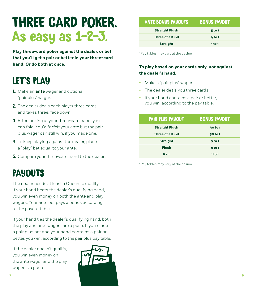## THREE CARD POKER. As easy as 1-2-3.

**Play three-card poker against the dealer, or bet that you'll get a pair or better in your three-card hand. Or do both at once.**

### LET'S PLAY

- 1. Make an **ante** wager and optional "pair plus" wager.
- 2. The dealer deals each player three cards and takes three, face down.
- **3.** After looking at your three-card hand, you can fold. You'd forfeit your ante but the pair plus wager can still win, if you made one.
- 4. To keep playing against the dealer, place a "play" bet equal to your ante.
- **5.** Compare your three-card hand to the dealer's.

### **PAYOUTS**

The dealer needs at least a Queen to qualify. If your hand beats the dealer's qualifying hand, you win even money on both the ante and play wagers. Your ante bet pays a bonus according to the payout table.

If your hand ties the dealer's qualifying hand, both the play and ante wagers are a push. If you made a pair plus bet and your hand contains a pair or better, you win, according to the pair plus pay table.

If the dealer doesn't qualify, you win even money on the ante wager and the play wager is a push.



| <b>ANTE BONUS PAYOUTS</b> | <b>BONUS PAYOUT</b> |
|---------------------------|---------------------|
| <b>Straight Flush</b>     | $5$ to 1            |
| <b>Three of a Kind</b>    | 4 to 1              |
| <b>Straight</b>           | 1 to 1              |

\*Pay tables may vary at the casino

#### **To play based on your cards only, not against the dealer's hand.**

- Make a "pair plus" wager.
- The dealer deals you three cards.
- If your hand contains a pair or better, you win, according to the pay table.

| <b>PAIR PLUS PAYOUT</b> | <b>BONUS PAYOUT</b> |
|-------------------------|---------------------|
| <b>Straight Flush</b>   | 40 to 1             |
| <b>Three of a Kind</b>  | 30 to 1             |
| <b>Straight</b>         | $5$ to 1            |
| <b>Flush</b>            | 4 to 1              |
| Pair                    | 1 to 1              |

\*Pay tables may vary at the casino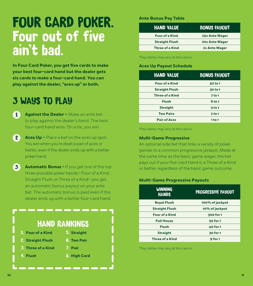## FOUR CARD POKER. Four out of five ain't bad.

**In Four Card Poker, you get five cards to make your best four-card hand but the dealer gets six cards to make a four-card hand. You can play against the dealer, "aces up" or both.** 

### 3 WAYS TO PLAY

- 1 **Against the Dealer –** Make an ante bet to play against the dealer's hand. The best four-card hand wins. On a tie, you win.
- 2 **Aces Up -** Place a bet on the aces up spot. You win when you're dealt a pair of aces or better, even if the dealer ends up with a better poker hand.
- 3 **Automatic Bonus -** If you get one of the top three possible poker hands—Four of a Kind, Straight Flush or Three of a Kind—you get an automatic bonus payout on your ante bet. The automatic bonus is paid even if the dealer ends up with a better four-card hand.

## HAND RANKINGS

- 1. **Four of a Kind** 2. **Straight Flush** 3. **Three of a Kind** 5. **Straight** 6. **Two Pair** 7. **Pair**
- 4. **Flush** 8. **High Card**
- 

#### **Ante Bonus Pay Table**

| <b>HAND VALUE</b>      | <b>BONUS PAYOUT</b>   |
|------------------------|-----------------------|
| <b>Four of a Kind</b>  | <b>25x Ante Wager</b> |
| <b>Straight Flush</b>  | <b>20x Ante Wager</b> |
| <b>Three of a Kind</b> | 2x Ante Wager         |

\*Pay tables may vary at the casino

#### **Aces Up Payout Schedule**

| <b>HAND VALUE</b>      | <b>BONUS PAYOUT</b> |
|------------------------|---------------------|
| <b>Four of a Kind</b>  | 50 to 1             |
| <b>Straight Flush</b>  | 30 to 1             |
| <b>Three of a Kind</b> | <b>7 to 1</b>       |
| <b>Flush</b>           | 6 to 1              |
| <b>Straight</b>        | $5$ to 1            |
| <b>Two Pairs</b>       | 2 to 1              |
| <b>Pair of Aces</b>    | 1 to 1              |

\*Pay tables may vary at the casino

#### **Multi-Game Progressive**

An optional side bet that links a variety of poker games to a common progressive jackpot. Made at the same time as the basic game wager, the bet pays out if your five-card hand is a Three of a Kind or better, regardless of the basic game outcome.

#### **Multi-Game Progressive Payouts**

| <b>WINNING</b><br><b>HANDS</b> | PROGRESSIVE PAYOUT |
|--------------------------------|--------------------|
| <b>Royal Flush</b>             | 100% of jackpot    |
| <b>Straight Flush</b>          | 10% of jackpot     |
| <b>Four of a Kind</b>          | 300 for 1          |
| <b>Full House</b>              | 50 for 1           |
| <b>Flush</b>                   | <b>40 for 1</b>    |
| <b>Straight</b>                | 30 for 1           |
| <b>Three of a Kind</b>         | 9 for 1            |

\*Pay tables may vary at the casino